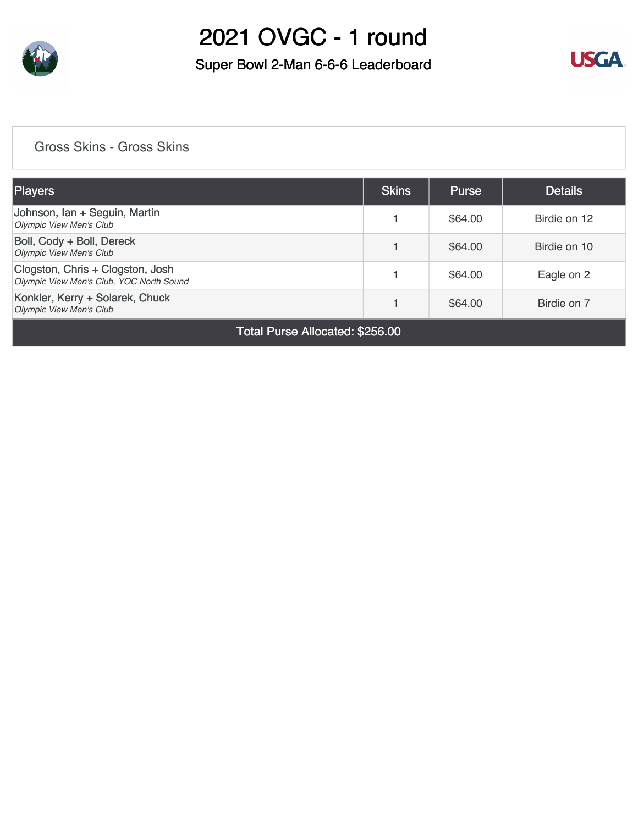

### Super Bowl 2-Man 6-6-6 Leaderboard



### [Gross Skins - Gross Skins](https://cdn2.golfgenius.com/v2tournaments/7137655833252334251?called_from=&round_index=1)

| Players                                                                      | <b>Skins</b> | <b>Purse</b> | <b>Details</b> |
|------------------------------------------------------------------------------|--------------|--------------|----------------|
| Johnson, Ian + Seguin, Martin<br><b>Olympic View Men's Club</b>              |              | \$64.00      | Birdie on 12   |
| Boll, Cody + Boll, Dereck<br><b>Olympic View Men's Club</b>                  |              | \$64.00      | Birdie on 10   |
| Clogston, Chris + Clogston, Josh<br>Olympic View Men's Club, YOC North Sound |              | \$64.00      | Eagle on 2     |
| Konkler, Kerry + Solarek, Chuck<br><b>Olympic View Men's Club</b>            |              | \$64.00      | Birdie on 7    |

Total Purse Allocated: \$256.00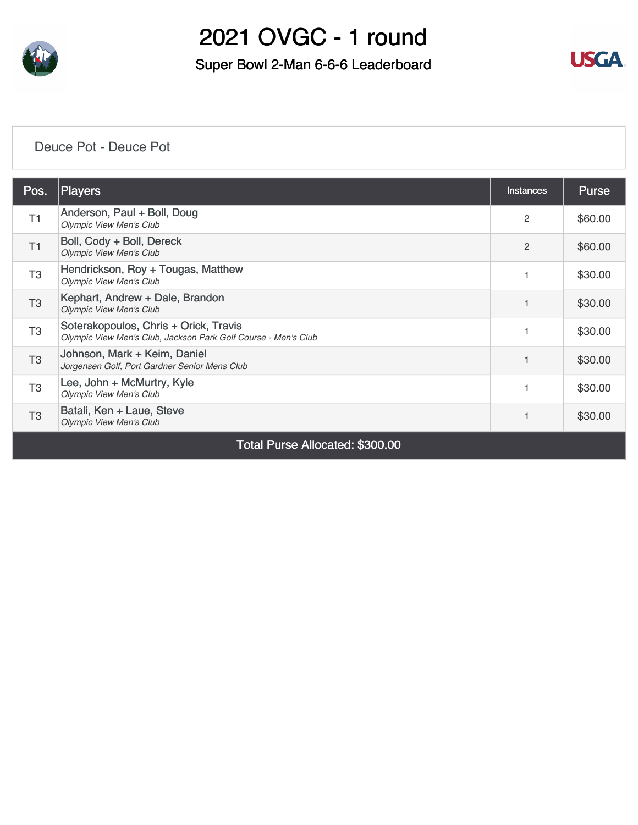

Super Bowl 2-Man 6-6-6 Leaderboard



#### [Deuce Pot - Deuce Pot](https://cdn2.golfgenius.com/v2tournaments/7137658014894394029?called_from=&round_index=1)

| Pos.           | Players                                                                                                 | Instances | <b>Purse</b> |  |  |  |  |  |
|----------------|---------------------------------------------------------------------------------------------------------|-----------|--------------|--|--|--|--|--|
| T1             | Anderson, Paul + Boll, Doug<br><b>Olympic View Men's Club</b>                                           | 2         | \$60.00      |  |  |  |  |  |
| T <sub>1</sub> | Boll, Cody + Boll, Dereck<br><b>Olympic View Men's Club</b>                                             | 2         | \$60.00      |  |  |  |  |  |
| T <sub>3</sub> | Hendrickson, Roy + Tougas, Matthew<br><b>Olympic View Men's Club</b>                                    |           | \$30.00      |  |  |  |  |  |
| T <sub>3</sub> | Kephart, Andrew + Dale, Brandon<br><b>Olympic View Men's Club</b>                                       |           | \$30.00      |  |  |  |  |  |
| T <sub>3</sub> | Soterakopoulos, Chris + Orick, Travis<br>Olympic View Men's Club, Jackson Park Golf Course - Men's Club |           | \$30.00      |  |  |  |  |  |
| T <sub>3</sub> | Johnson, Mark + Keim, Daniel<br>Jorgensen Golf, Port Gardner Senior Mens Club                           |           | \$30.00      |  |  |  |  |  |
| T <sub>3</sub> | Lee, John + McMurtry, Kyle<br><b>Olympic View Men's Club</b>                                            |           | \$30.00      |  |  |  |  |  |
| T <sub>3</sub> | Batali, Ken + Laue, Steve<br><b>Olympic View Men's Club</b>                                             |           | \$30.00      |  |  |  |  |  |
|                | Total Purse Allocated: \$300.00                                                                         |           |              |  |  |  |  |  |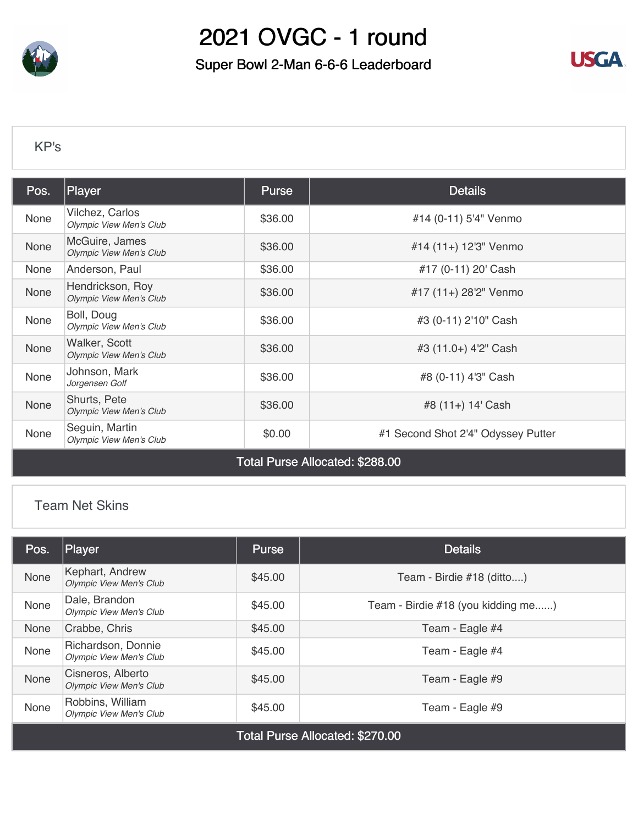

Super Bowl 2-Man 6-6-6 Leaderboard



#### [KP's](https://cdn2.golfgenius.com/v2tournaments/7042057051186400212?called_from=&round_index=1)

| Pos.                            | Player                                             | <b>Purse</b> | <b>Details</b>                     |  |  |  |  |
|---------------------------------|----------------------------------------------------|--------------|------------------------------------|--|--|--|--|
| None                            | Vilchez, Carlos<br>Olympic View Men's Club         | \$36.00      | #14 (0-11) 5'4" Venmo              |  |  |  |  |
| None                            | McGuire, James<br><b>Olympic View Men's Club</b>   | \$36.00      | #14 (11+) 12'3" Venmo              |  |  |  |  |
| None                            | Anderson, Paul                                     | \$36.00      | #17 (0-11) 20' Cash                |  |  |  |  |
| None                            | Hendrickson, Roy<br><b>Olympic View Men's Club</b> | \$36.00      | #17 (11+) 28'2" Venmo              |  |  |  |  |
| None                            | Boll, Doug<br>Olympic View Men's Club              | \$36.00      | #3 (0-11) 2'10" Cash               |  |  |  |  |
| None                            | Walker, Scott<br><b>Olympic View Men's Club</b>    | \$36.00      | #3 (11.0+) 4'2" Cash               |  |  |  |  |
| None                            | Johnson, Mark<br>Jorgensen Golf                    | \$36.00      | #8 (0-11) 4'3" Cash                |  |  |  |  |
| None                            | Shurts, Pete<br><b>Olympic View Men's Club</b>     | \$36.00      | #8 (11+) 14' Cash                  |  |  |  |  |
| None                            | Seguin, Martin<br><b>Olympic View Men's Club</b>   | \$0.00       | #1 Second Shot 2'4" Odyssey Putter |  |  |  |  |
| Total Purse Allocated: \$288.00 |                                                    |              |                                    |  |  |  |  |

#### [Team Net Skins](https://cdn2.golfgenius.com/v2tournaments/7144033937164077801?called_from=&round_index=1)

| Pos.                            | Player                                               | Purse   | <b>Details</b>                     |  |  |  |  |  |
|---------------------------------|------------------------------------------------------|---------|------------------------------------|--|--|--|--|--|
| None                            | Kephart, Andrew<br><b>Olympic View Men's Club</b>    | \$45.00 | Team - Birdie #18 (ditto)          |  |  |  |  |  |
| None                            | Dale, Brandon<br><b>Olympic View Men's Club</b>      | \$45.00 | Team - Birdie #18 (you kidding me) |  |  |  |  |  |
| None                            | Crabbe, Chris                                        | \$45.00 | Team - Eagle #4                    |  |  |  |  |  |
| None                            | Richardson, Donnie<br><b>Olympic View Men's Club</b> | \$45.00 | Team - Eagle #4                    |  |  |  |  |  |
| None                            | Cisneros, Alberto<br><b>Olympic View Men's Club</b>  | \$45.00 | Team - Eagle #9                    |  |  |  |  |  |
| None                            | Robbins, William<br><b>Olympic View Men's Club</b>   | \$45.00 | Team - Eagle #9                    |  |  |  |  |  |
| Total Purse Allocated: \$270.00 |                                                      |         |                                    |  |  |  |  |  |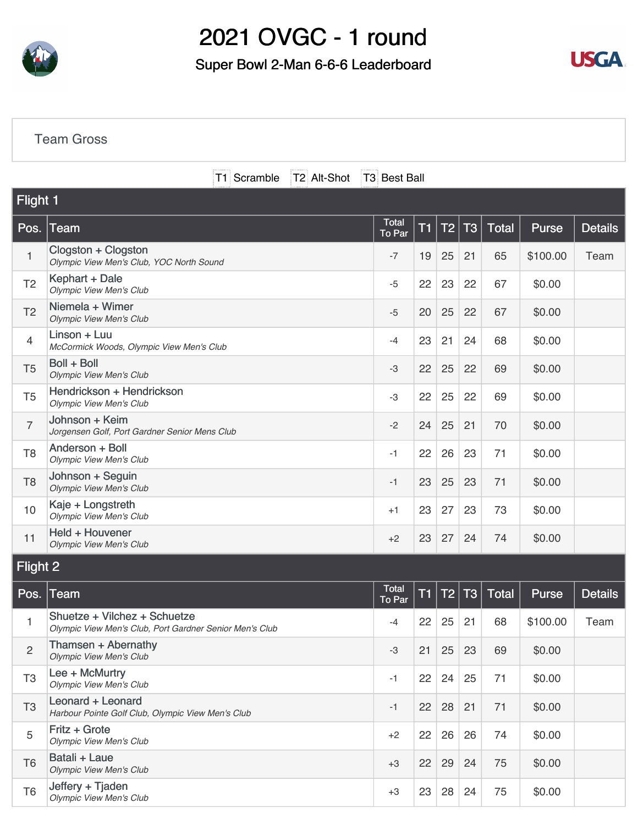

### Super Bowl 2-Man 6-6-6 Leaderboard



#### [Team Gross](https://cdn2.golfgenius.com/v2tournaments/7143902426976750306?called_from=&round_index=1)

T1 Scramble T2 Alt-Shot T3 Best Ball

| <b>Flight 1</b> |                                                                                         |                 |           |    |                |              |              |                |
|-----------------|-----------------------------------------------------------------------------------------|-----------------|-----------|----|----------------|--------------|--------------|----------------|
| Pos.            | Team                                                                                    | Total<br>To Par | <b>T1</b> | T2 | <b>T3</b>      | <b>Total</b> | <b>Purse</b> | <b>Details</b> |
| $\mathbf{1}$    | Clogston + Clogston<br>Olympic View Men's Club, YOC North Sound                         | $-7$            | 19        | 25 | 21             | 65           | \$100.00     | Team           |
| T <sub>2</sub>  | Kephart + Dale<br><b>Olympic View Men's Club</b>                                        | $-5$            | 22        | 23 | 22             | 67           | \$0.00       |                |
| T <sub>2</sub>  | Niemela + Wimer<br><b>Olympic View Men's Club</b>                                       | $-5$            | 20        | 25 | 22             | 67           | \$0.00       |                |
| $\overline{4}$  | Linson + Luu<br>McCormick Woods, Olympic View Men's Club                                | $-4$            | 23        | 21 | 24             | 68           | \$0.00       |                |
| T <sub>5</sub>  | Boll + Boll<br><b>Olympic View Men's Club</b>                                           | -3              | 22        | 25 | 22             | 69           | \$0.00       |                |
| T <sub>5</sub>  | Hendrickson + Hendrickson<br><b>Olympic View Men's Club</b>                             | -3              | 22        | 25 | 22             | 69           | \$0.00       |                |
| $\overline{7}$  | Johnson + Keim<br>Jorgensen Golf, Port Gardner Senior Mens Club                         | $-2$            | 24        | 25 | 21             | 70           | \$0.00       |                |
| T <sub>8</sub>  | Anderson + Boll<br><b>Olympic View Men's Club</b>                                       | $-1$            | 22        | 26 | 23             | 71           | \$0.00       |                |
| T <sub>8</sub>  | Johnson + Seguin<br><b>Olympic View Men's Club</b>                                      | $-1$            | 23        | 25 | 23             | 71           | \$0.00       |                |
| 10              | Kaje + Longstreth<br><b>Olympic View Men's Club</b>                                     | $+1$            | 23        | 27 | 23             | 73           | \$0.00       |                |
| 11              | Held + Houvener<br><b>Olympic View Men's Club</b>                                       | $+2$            | 23        | 27 | 24             | 74           | \$0.00       |                |
| Flight 2        |                                                                                         |                 |           |    |                |              |              |                |
| Pos.            | Team                                                                                    | Total<br>To Par | T1        | T2 | T <sub>3</sub> | Total        | <b>Purse</b> | <b>Details</b> |
| 1               | Shuetze + Vilchez + Schuetze<br>Olympic View Men's Club, Port Gardner Senior Men's Club | -4              | 22        | 25 | 21             | 68           | \$100.00     | Team           |
| $\overline{c}$  | Thamsen + Abernathy<br><b>Olympic View Men's Club</b>                                   | -3              | 21        | 25 | 23             | 69           | \$0.00       |                |
| T <sub>3</sub>  | Lee + McMurtry<br>Olympic View Men's Club                                               | $-1$            | 22        | 24 | 25             | 71           | \$0.00       |                |
| T <sub>3</sub>  | Leonard + Leonard<br>Harbour Pointe Golf Club, Olympic View Men's Club                  | $-1$            | 22        | 28 | 21             | 71           | \$0.00       |                |
| 5               | Fritz + Grote<br><b>Olympic View Men's Club</b>                                         | $+2$            | 22        | 26 | 26             | 74           | \$0.00       |                |
| T <sub>6</sub>  | Batali + Laue<br><b>Olympic View Men's Club</b>                                         | $+3$            | 22        | 29 | 24             | 75           | \$0.00       |                |
| T <sub>6</sub>  | Jeffery + Tjaden<br><b>Olympic View Men's Club</b>                                      | $+3$            | 23        | 28 | 24             | 75           | \$0.00       |                |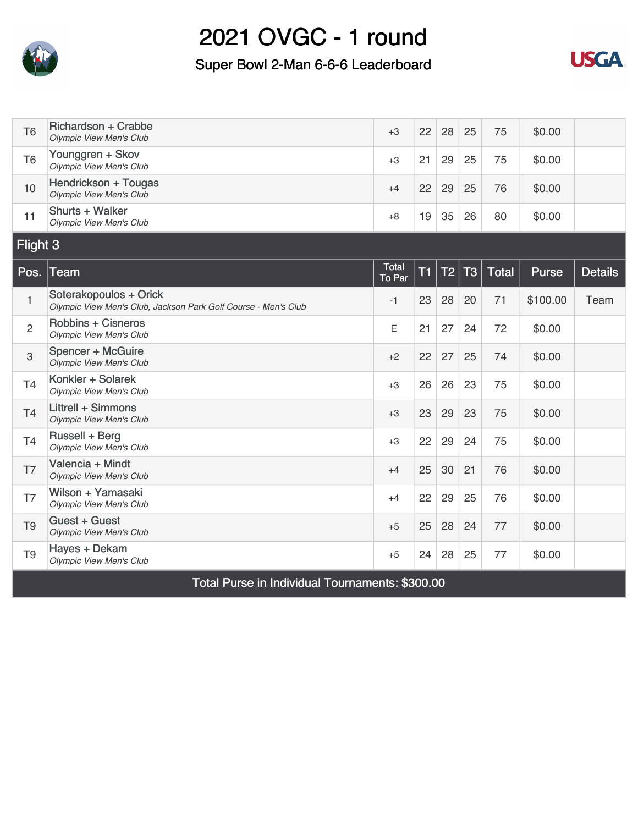

### Super Bowl 2-Man 6-6-6 Leaderboard



| T <sub>6</sub> | <b>Richardson + Crabbe</b><br><b>Olympic View Men's Club</b>                             | $+3$            | 22 | 28             | 25        | 75    | \$0.00   |                |  |
|----------------|------------------------------------------------------------------------------------------|-----------------|----|----------------|-----------|-------|----------|----------------|--|
| T <sub>6</sub> | Younggren + Skov<br><b>Olympic View Men's Club</b>                                       | $+3$            | 21 | 29             | 25        | 75    | \$0.00   |                |  |
| 10             | Hendrickson + Tougas<br><b>Olympic View Men's Club</b>                                   | $+4$            | 22 | 29             | 25        | 76    | \$0.00   |                |  |
| 11             | Shurts + Walker<br><b>Olympic View Men's Club</b>                                        | $+8$            | 19 | 35             | 26        | 80    | \$0.00   |                |  |
| Flight 3       |                                                                                          |                 |    |                |           |       |          |                |  |
| Pos.           | <b>Team</b>                                                                              | Total<br>To Par | T1 | T <sub>2</sub> | <b>T3</b> | Total | Purse    | <b>Details</b> |  |
| $\mathbf{1}$   | Soterakopoulos + Orick<br>Olympic View Men's Club, Jackson Park Golf Course - Men's Club | $-1$            | 23 | 28             | 20        | 71    | \$100.00 | Team           |  |
| $\overline{2}$ | <b>Robbins + Cisneros</b><br><b>Olympic View Men's Club</b>                              | Ε               | 21 | 27             | 24        | 72    | \$0.00   |                |  |
| 3              | Spencer + McGuire<br><b>Olympic View Men's Club</b>                                      | $+2$            | 22 | 27             | 25        | 74    | \$0.00   |                |  |
| <b>T4</b>      | Konkler + Solarek<br><b>Olympic View Men's Club</b>                                      | $+3$            | 26 | 26             | 23        | 75    | \$0.00   |                |  |
| T <sub>4</sub> | Littrell + Simmons<br><b>Olympic View Men's Club</b>                                     | $+3$            | 23 | 29             | 23        | 75    | \$0.00   |                |  |
| <b>T4</b>      | Russell + Berg<br><b>Olympic View Men's Club</b>                                         | $+3$            | 22 | 29             | 24        | 75    | \$0.00   |                |  |
| T7             | Valencia + Mindt<br><b>Olympic View Men's Club</b>                                       | $+4$            | 25 | 30             | 21        | 76    | \$0.00   |                |  |
| T7             | Wilson + Yamasaki<br><b>Olympic View Men's Club</b>                                      | $+4$            | 22 | 29             | 25        | 76    | \$0.00   |                |  |
| T <sub>9</sub> | Guest + Guest<br><b>Olympic View Men's Club</b>                                          | $+5$            | 25 | 28             | 24        | 77    | \$0.00   |                |  |
| T <sub>9</sub> | Hayes + Dekam<br><b>Olympic View Men's Club</b>                                          | $+5$            | 24 | 28             | 25        | 77    | \$0.00   |                |  |
|                | Total Purse in Individual Tournaments: \$300.00                                          |                 |    |                |           |       |          |                |  |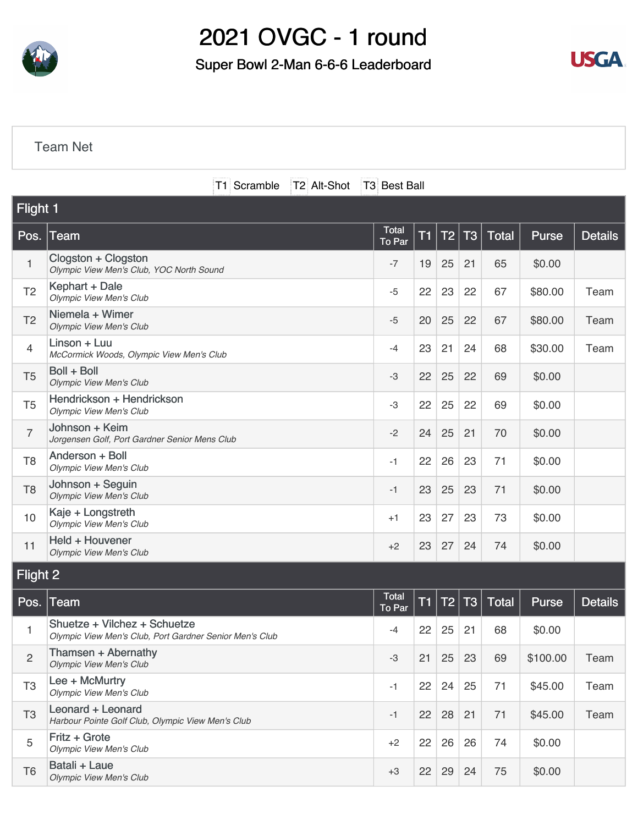

### Super Bowl 2-Man 6-6-6 Leaderboard



#### [Team Net](https://cdn2.golfgenius.com/v2tournaments/7143903411899992806?called_from=&round_index=1)

|                | T1 Scramble<br>T2 Alt-Shot                                                              | T3 Best Ball           |           |                 |                |              |              |                |
|----------------|-----------------------------------------------------------------------------------------|------------------------|-----------|-----------------|----------------|--------------|--------------|----------------|
| Flight 1       |                                                                                         |                        |           |                 |                |              |              |                |
| Pos.           | Team                                                                                    | <b>Total</b><br>To Par | T1        | T <sub>2</sub>  | <b>T3</b>      | <b>Total</b> | <b>Purse</b> | <b>Details</b> |
| 1              | Clogston + Clogston<br>Olympic View Men's Club, YOC North Sound                         | $-7$                   | 19        | 25              | 21             | 65           | \$0.00       |                |
| T <sub>2</sub> | Kephart + Dale<br><b>Olympic View Men's Club</b>                                        | $-5$                   | 22        | 23              | 22             | 67           | \$80.00      | Team           |
| T <sub>2</sub> | Niemela + Wimer<br><b>Olympic View Men's Club</b>                                       | $-5$                   | 20        | 25              | 22             | 67           | \$80.00      | Team           |
| 4              | Linson + Luu<br>McCormick Woods, Olympic View Men's Club                                | $-4$                   | 23        | 21              | 24             | 68           | \$30.00      | Team           |
| T <sub>5</sub> | Boll + Boll<br><b>Olympic View Men's Club</b>                                           | -3                     | 22        | 25              | 22             | 69           | \$0.00       |                |
| T <sub>5</sub> | Hendrickson + Hendrickson<br><b>Olympic View Men's Club</b>                             | -3                     | 22        | 25              | 22             | 69           | \$0.00       |                |
| $\overline{7}$ | Johnson + Keim<br>Jorgensen Golf, Port Gardner Senior Mens Club                         | $-2$                   | 24        | 25              | 21             | 70           | \$0.00       |                |
| T <sub>8</sub> | Anderson + Boll<br><b>Olympic View Men's Club</b>                                       | -1                     | 22        | 26              | 23             | 71           | \$0.00       |                |
| T <sub>8</sub> | Johnson + Seguin<br><b>Olympic View Men's Club</b>                                      | -1                     | 23        | 25              | 23             | 71           | \$0.00       |                |
| 10             | Kaje + Longstreth<br><b>Olympic View Men's Club</b>                                     | $+1$                   | 23        | 27              | 23             | 73           | \$0.00       |                |
| 11             | Held + Houvener<br><b>Olympic View Men's Club</b>                                       | $+2$                   | 23        | 27              | 24             | 74           | \$0.00       |                |
| Flight 2       |                                                                                         |                        |           |                 |                |              |              |                |
| Pos.           | Team                                                                                    | <b>Total</b><br>To Par | <b>T1</b> | $\overline{12}$ | T <sub>3</sub> | <b>Total</b> | Purse        | <b>Details</b> |
| 1              | Shuetze + Vilchez + Schuetze<br>Olympic View Men's Club, Port Gardner Senior Men's Club | -4                     | 22        | 25              | 21             | 68           | \$0.00       |                |
| $\overline{c}$ | Thamsen + Abernathy<br><b>Olympic View Men's Club</b>                                   | -3                     | 21        | 25              | 23             | 69           | \$100.00     | Team           |
| T <sub>3</sub> | Lee + McMurtry<br><b>Olympic View Men's Club</b>                                        | $-1$                   | 22        | 24              | 25             | 71           | \$45.00      | Team           |
| T <sub>3</sub> | Leonard + Leonard<br>Harbour Pointe Golf Club, Olympic View Men's Club                  | $-1$                   | 22        | 28              | 21             | 71           | \$45.00      | Team           |
| 5              | Fritz + Grote<br><b>Olympic View Men's Club</b>                                         | $+2$                   | 22        | 26              | 26             | 74           | \$0.00       |                |
| T <sub>6</sub> | Batali + Laue<br><b>Olympic View Men's Club</b>                                         | $+3$                   | 22        | 29              | 24             | 75           | \$0.00       |                |